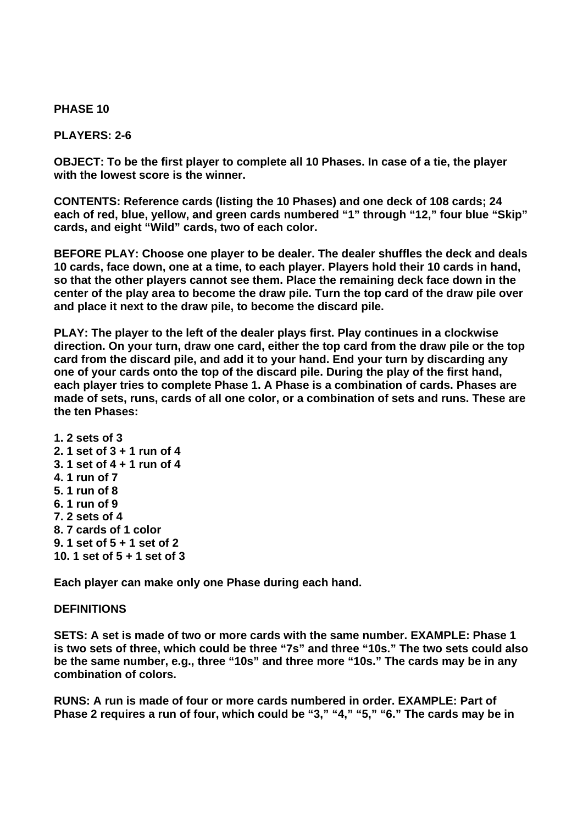## **PHASE 10**

## **PLAYERS: 2-6**

**OBJECT: To be the first player to complete all 10 Phases. In case of a tie, the player with the lowest score is the winner.** 

**CONTENTS: Reference cards (listing the 10 Phases) and one deck of 108 cards; 24 each of red, blue, yellow, and green cards numbered "1" through "12," four blue "Skip" cards, and eight "Wild" cards, two of each color.** 

**BEFORE PLAY: Choose one player to be dealer. The dealer shuffles the deck and deals 10 cards, face down, one at a time, to each player. Players hold their 10 cards in hand, so that the other players cannot see them. Place the remaining deck face down in the center of the play area to become the draw pile. Turn the top card of the draw pile over and place it next to the draw pile, to become the discard pile.** 

**PLAY: The player to the left of the dealer plays first. Play continues in a clockwise direction. On your turn, draw one card, either the top card from the draw pile or the top card from the discard pile, and add it to your hand. End your turn by discarding any one of your cards onto the top of the discard pile. During the play of the first hand, each player tries to complete Phase 1. A Phase is a combination of cards. Phases are made of sets, runs, cards of all one color, or a combination of sets and runs. These are the ten Phases:** 

**1. 2 sets of 3 2. 1 set of 3 + 1 run of 4 3. 1 set of 4 + 1 run of 4 4. 1 run of 7 5. 1 run of 8 6. 1 run of 9 7. 2 sets of 4 8. 7 cards of 1 color 9. 1 set of 5 + 1 set of 2 10. 1 set of 5 + 1 set of 3** 

**Each player can make only one Phase during each hand.** 

## **DEFINITIONS**

**SETS: A set is made of two or more cards with the same number. EXAMPLE: Phase 1 is two sets of three, which could be three "7s" and three "10s." The two sets could also be the same number, e.g., three "10s" and three more "10s." The cards may be in any combination of colors.** 

**RUNS: A run is made of four or more cards numbered in order. EXAMPLE: Part of Phase 2 requires a run of four, which could be "3," "4," "5," "6." The cards may be in**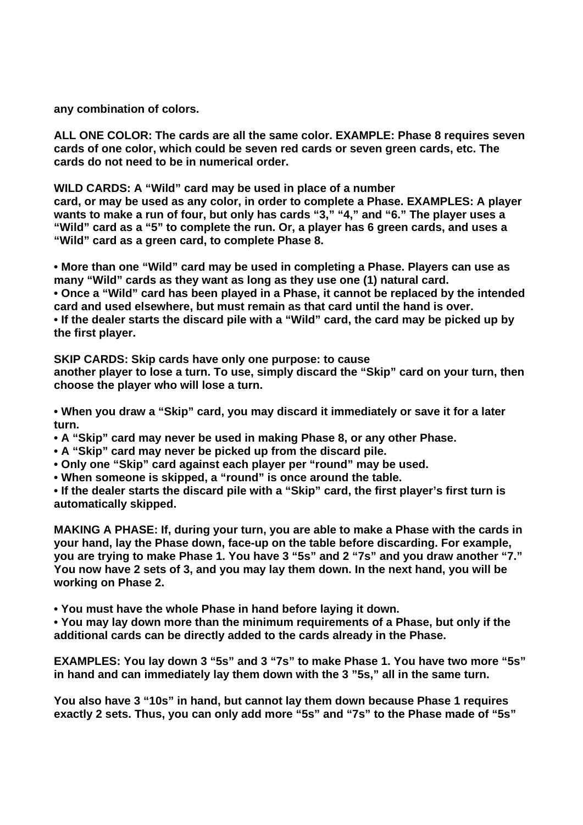**any combination of colors.** 

**ALL ONE COLOR: The cards are all the same color. EXAMPLE: Phase 8 requires seven cards of one color, which could be seven red cards or seven green cards, etc. The cards do not need to be in numerical order.** 

**WILD CARDS: A "Wild" card may be used in place of a number** 

**card, or may be used as any color, in order to complete a Phase. EXAMPLES: A player wants to make a run of four, but only has cards "3," "4," and "6." The player uses a "Wild" card as a "5" to complete the run. Or, a player has 6 green cards, and uses a "Wild" card as a green card, to complete Phase 8.** 

**• More than one "Wild" card may be used in completing a Phase. Players can use as many "Wild" cards as they want as long as they use one (1) natural card. • Once a "Wild" card has been played in a Phase, it cannot be replaced by the intended card and used elsewhere, but must remain as that card until the hand is over. • If the dealer starts the discard pile with a "Wild" card, the card may be picked up by the first player.** 

**SKIP CARDS: Skip cards have only one purpose: to cause** 

**another player to lose a turn. To use, simply discard the "Skip" card on your turn, then choose the player who will lose a turn.** 

**• When you draw a "Skip" card, you may discard it immediately or save it for a later turn.** 

**• A "Skip" card may never be used in making Phase 8, or any other Phase.** 

**• A "Skip" card may never be picked up from the discard pile.** 

**• Only one "Skip" card against each player per "round" may be used.** 

**• When someone is skipped, a "round" is once around the table.** 

**• If the dealer starts the discard pile with a "Skip" card, the first player's first turn is automatically skipped.** 

**MAKING A PHASE: If, during your turn, you are able to make a Phase with the cards in your hand, lay the Phase down, face-up on the table before discarding. For example, you are trying to make Phase 1. You have 3 "5s" and 2 "7s" and you draw another "7." You now have 2 sets of 3, and you may lay them down. In the next hand, you will be working on Phase 2.** 

**• You must have the whole Phase in hand before laying it down.** 

**• You may lay down more than the minimum requirements of a Phase, but only if the additional cards can be directly added to the cards already in the Phase.** 

**EXAMPLES: You lay down 3 "5s" and 3 "7s" to make Phase 1. You have two more "5s" in hand and can immediately lay them down with the 3 "5s," all in the same turn.** 

**You also have 3 "10s" in hand, but cannot lay them down because Phase 1 requires exactly 2 sets. Thus, you can only add more "5s" and "7s" to the Phase made of "5s"**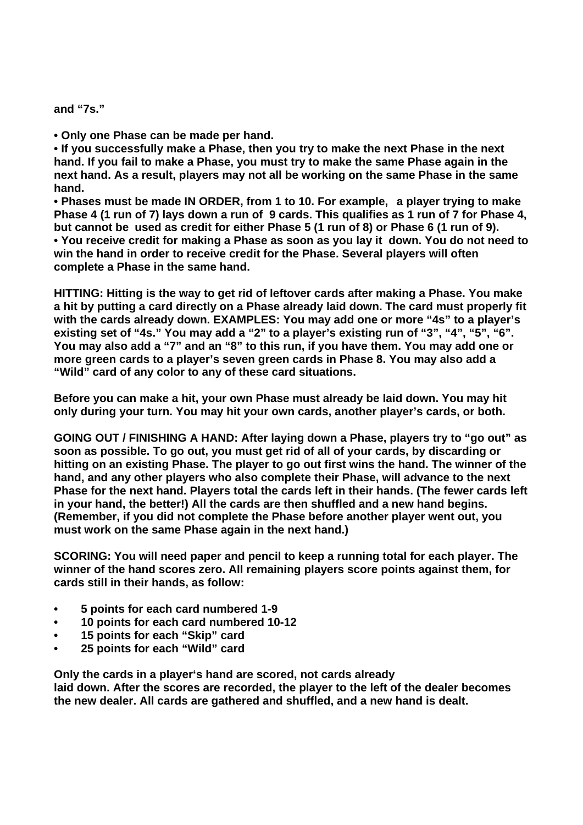**and "7s."** 

**• Only one Phase can be made per hand.** 

**• If you successfully make a Phase, then you try to make the next Phase in the next hand. If you fail to make a Phase, you must try to make the same Phase again in the next hand. As a result, players may not all be working on the same Phase in the same hand.** 

**• Phases must be made IN ORDER, from 1 to 10. For example, a player trying to make Phase 4 (1 run of 7) lays down a run of 9 cards. This qualifies as 1 run of 7 for Phase 4, but cannot be used as credit for either Phase 5 (1 run of 8) or Phase 6 (1 run of 9). • You receive credit for making a Phase as soon as you lay it down. You do not need to win the hand in order to receive credit for the Phase. Several players will often complete a Phase in the same hand.** 

**HITTING: Hitting is the way to get rid of leftover cards after making a Phase. You make a hit by putting a card directly on a Phase already laid down. The card must properly fit with the cards already down. EXAMPLES: You may add one or more "4s" to a player's existing set of "4s." You may add a "2" to a player's existing run of "3", "4", "5", "6". You may also add a "7" and an "8" to this run, if you have them. You may add one or more green cards to a player's seven green cards in Phase 8. You may also add a "Wild" card of any color to any of these card situations.** 

**Before you can make a hit, your own Phase must already be laid down. You may hit only during your turn. You may hit your own cards, another player's cards, or both.** 

**GOING OUT / FINISHING A HAND: After laying down a Phase, players try to "go out" as soon as possible. To go out, you must get rid of all of your cards, by discarding or hitting on an existing Phase. The player to go out first wins the hand. The winner of the hand, and any other players who also complete their Phase, will advance to the next Phase for the next hand. Players total the cards left in their hands. (The fewer cards left in your hand, the better!) All the cards are then shuffled and a new hand begins. (Remember, if you did not complete the Phase before another player went out, you must work on the same Phase again in the next hand.)** 

**SCORING: You will need paper and pencil to keep a running total for each player. The winner of the hand scores zero. All remaining players score points against them, for cards still in their hands, as follow:** 

- **5 points for each card numbered 1-9**
- **10 points for each card numbered 10-12**
- **15 points for each "Skip" card**
- **25 points for each "Wild" card**

**Only the cards in a player's hand are scored, not cards already laid down. After the scores are recorded, the player to the left of the dealer becomes the new dealer. All cards are gathered and shuffled, and a new hand is dealt.**